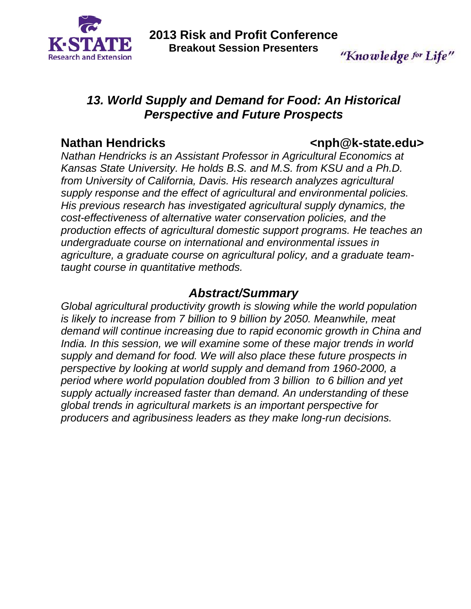

"Knowledge for Life"

# *13. World Supply and Demand for Food: An Historical Perspective and Future Prospects*

*Nathan Hendricks is an Assistant Professor in Agricultural Economics at Kansas State University. He holds B.S. and M.S. from KSU and a Ph.D. from University of California, Davis. His research analyzes agricultural supply response and the effect of agricultural and environmental policies. His previous research has investigated agricultural supply dynamics, the cost-effectiveness of alternative water conservation policies, and the production effects of agricultural domestic support programs. He teaches an undergraduate course on international and environmental issues in agriculture, a graduate course on agricultural policy, and a graduate teamtaught course in quantitative methods.* 

## *Abstract/Summary*

*Global agricultural productivity growth is slowing while the world population is likely to increase from 7 billion to 9 billion by 2050. Meanwhile, meat demand will continue increasing due to rapid economic growth in China and India. In this session, we will examine some of these major trends in world supply and demand for food. We will also place these future prospects in perspective by looking at world supply and demand from 1960-2000, a period where world population doubled from 3 billion to 6 billion and yet supply actually increased faster than demand. An understanding of these global trends in agricultural markets is an important perspective for producers and agribusiness leaders as they make long-run decisions.*

### **Nathan Hendricks Nathan Hendricks All Accords**  $\langle$ nph@k-state.edu>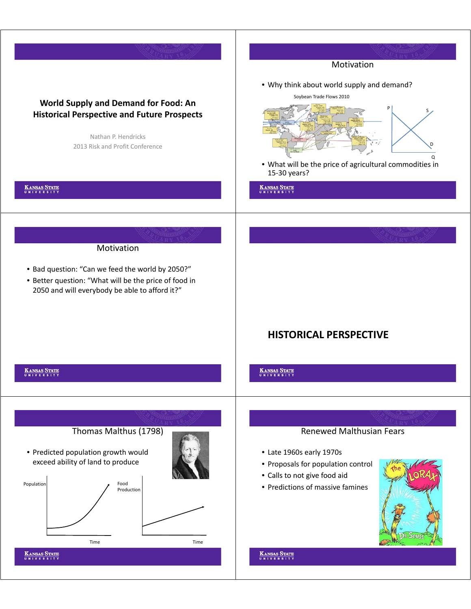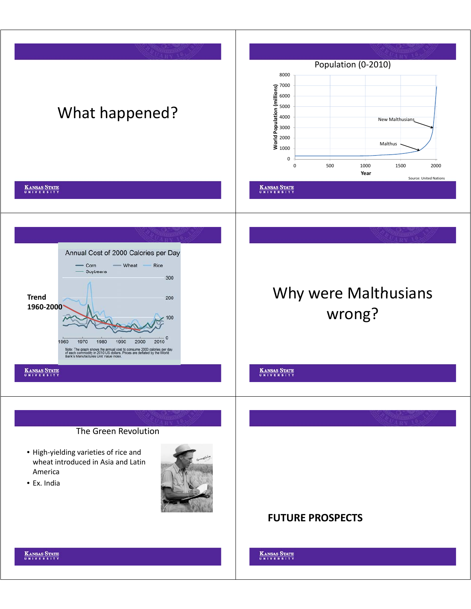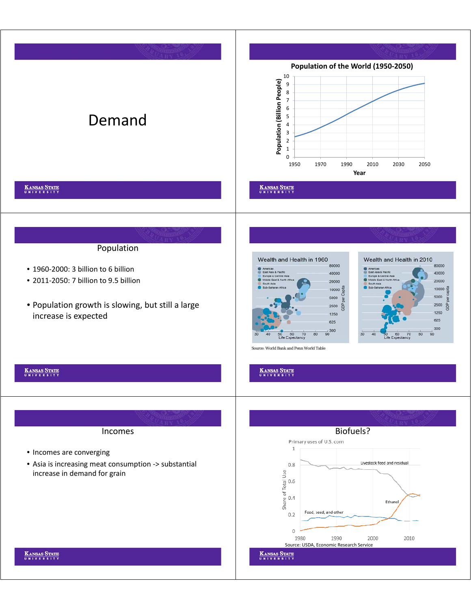

#### KANSAS STATE

KANSAS STATE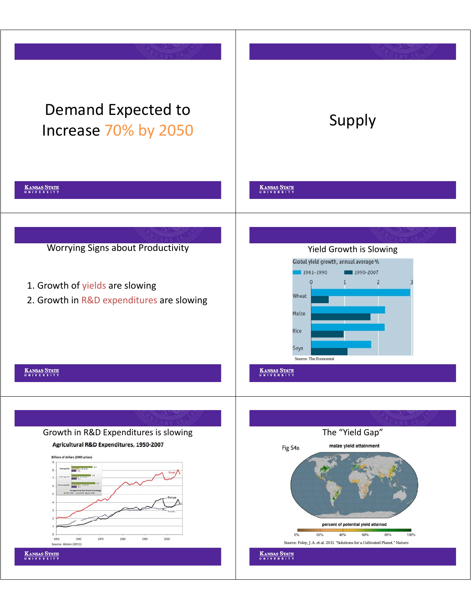# Demand Expected to Increase 70% by 2050

Worrying Signs about Productivity

- 1. Growth of yields are slowing
- 2. Growth in R&D expenditures are slowing



**KANSAS STATE** 

**KANSAS STATE** 

**KANSAS STATE** 

Growth in R&D Expenditures is slowing Agricultural R&D Expenditures, 1950-2007



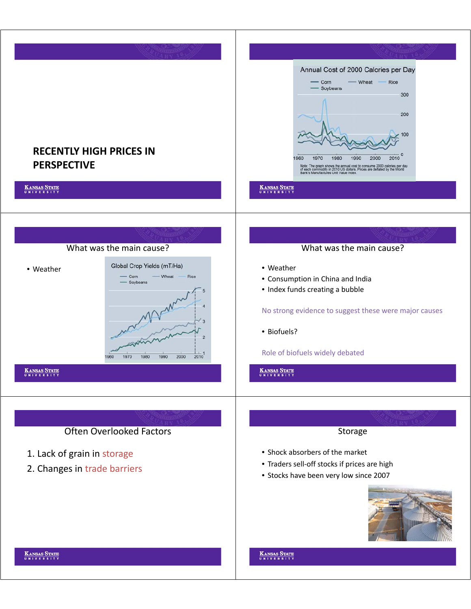